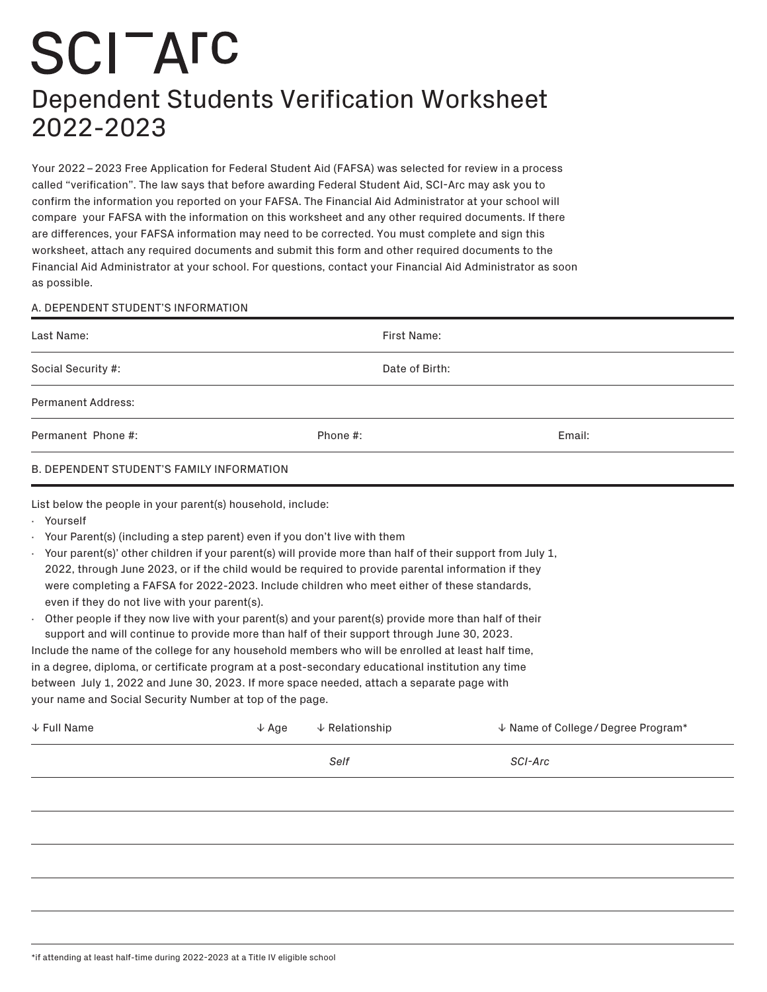## **SCITATC** Dependent Students Verification Worksheet 2022-2023

Your 2022 – 2023 Free Application for Federal Student Aid (FAFSA) was selected for review in a process called "verification". The law says that before awarding Federal Student Aid, SCI-Arc may ask you to confirm the information you reported on your FAFSA. The Financial Aid Administrator at your school will compare your FAFSA with the information on this worksheet and any other required documents. If there are differences, your FAFSA information may need to be corrected. You must complete and sign this worksheet, attach any required documents and submit this form and other required documents to the Financial Aid Administrator at your school. For questions, contact your Financial Aid Administrator as soon as possible.

## A. DEPENDENT STUDENT'S INFORMATION

| Last Name:                                                                                                                                                                                                                                                                                                                                                                                                                                                                                                                                                                                                                                                                                                                                                                                                                                                                                                                                                                                                                 |                  | First Name:               |                                                |
|----------------------------------------------------------------------------------------------------------------------------------------------------------------------------------------------------------------------------------------------------------------------------------------------------------------------------------------------------------------------------------------------------------------------------------------------------------------------------------------------------------------------------------------------------------------------------------------------------------------------------------------------------------------------------------------------------------------------------------------------------------------------------------------------------------------------------------------------------------------------------------------------------------------------------------------------------------------------------------------------------------------------------|------------------|---------------------------|------------------------------------------------|
| Social Security #:                                                                                                                                                                                                                                                                                                                                                                                                                                                                                                                                                                                                                                                                                                                                                                                                                                                                                                                                                                                                         |                  | Date of Birth:            |                                                |
| <b>Permanent Address:</b>                                                                                                                                                                                                                                                                                                                                                                                                                                                                                                                                                                                                                                                                                                                                                                                                                                                                                                                                                                                                  |                  |                           |                                                |
| Permanent Phone #:                                                                                                                                                                                                                                                                                                                                                                                                                                                                                                                                                                                                                                                                                                                                                                                                                                                                                                                                                                                                         |                  | Phone #:                  | Email:                                         |
| B. DEPENDENT STUDENT'S FAMILY INFORMATION                                                                                                                                                                                                                                                                                                                                                                                                                                                                                                                                                                                                                                                                                                                                                                                                                                                                                                                                                                                  |                  |                           |                                                |
| List below the people in your parent(s) household, include:<br>· Yourself                                                                                                                                                                                                                                                                                                                                                                                                                                                                                                                                                                                                                                                                                                                                                                                                                                                                                                                                                  |                  |                           |                                                |
| Your Parent(s) (including a step parent) even if you don't live with them<br>· Your parent(s)' other children if your parent(s) will provide more than half of their support from July 1,<br>2022, through June 2023, or if the child would be required to provide parental information if they<br>were completing a FAFSA for 2022-2023. Include children who meet either of these standards,<br>even if they do not live with your parent(s).<br>Other people if they now live with your parent(s) and your parent(s) provide more than half of their<br>support and will continue to provide more than half of their support through June 30, 2023.<br>Include the name of the college for any household members who will be enrolled at least half time,<br>in a degree, diploma, or certificate program at a post-secondary educational institution any time<br>between July 1, 2022 and June 30, 2023. If more space needed, attach a separate page with<br>your name and Social Security Number at top of the page. |                  |                           |                                                |
| $\downarrow$ Full Name                                                                                                                                                                                                                                                                                                                                                                                                                                                                                                                                                                                                                                                                                                                                                                                                                                                                                                                                                                                                     | $\downarrow$ Age | $\downarrow$ Relationship | $\downarrow$ Name of College / Degree Program* |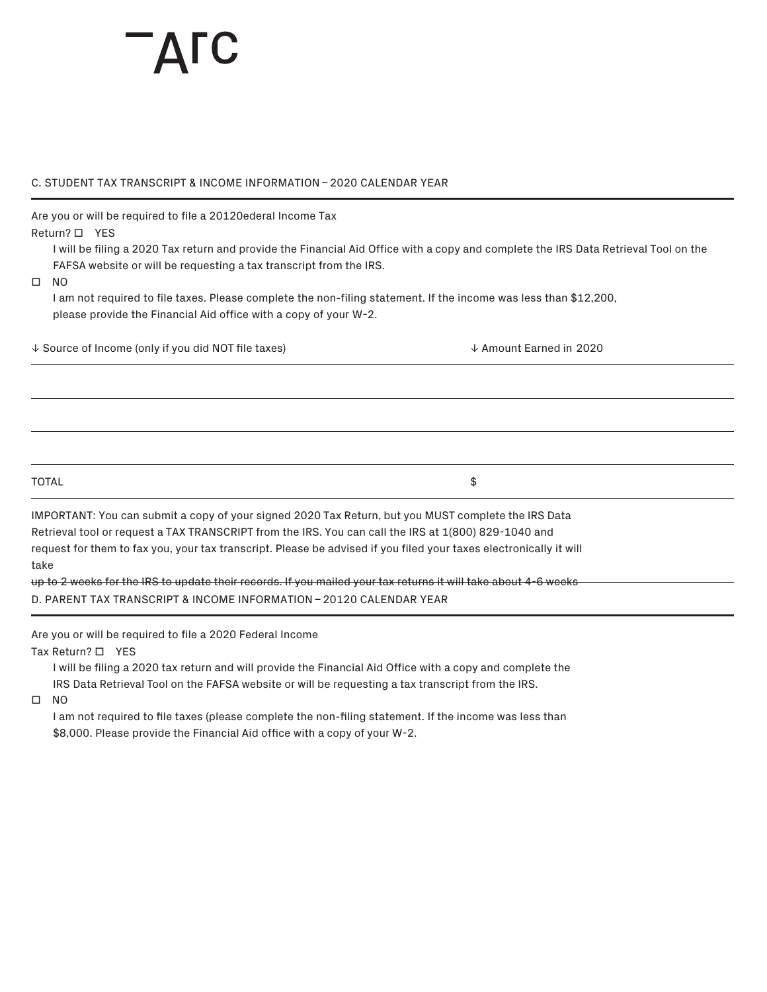## C. STUDENT TAX TRANSCRIPT & INCOME INFORMATION – 2020 CALENDAR YEAR

Are you or will be required to file a 20120ederal Income Tax

Return? **D** YES

I will be filing a 2020 Tax return and provide the Financial Aid Office with a copy and complete the IRS Data Retrieval Tool on the FAFSA website or will be requesting a tax transcript from the IRS.

 $\square$  NO

I am not required to file taxes. Please complete the non-filing statement. If the income was less than \$12,200, please provide the Financial Aid office with a copy of your W-2.

� Source of Income (only if you did NOT file taxes) � Amount Earned in 2020

 $\texttt{TOTAL} \hspace{2.5cm} \texttt{\$}$ 

IMPORTANT: You can submit a copy of your signed 2020 Tax Return, but you MUST complete the IRS Data Retrieval tool or request a TAX TRANSCRIPT from the IRS. You can call the IRS at 1(800) 829-1040 and request for them to fax you, your tax transcript. Please be advised if you filed your taxes electronically it will take

up to 2 weeks for the IRS to update their records. If you mailed your tax returns it will take about 4-6 weeks D. PARENT TAX TRANSCRIPT & INCOME INFORMATION – 20120 CALENDAR YEAR

Are you or will be required to file a 2020 Federal Income

Tax Return?  $\Box$  YES

I will be filing a 2020 tax return and will provide the Financial Aid Office with a copy and complete the IRS Data Retrieval Tool on the FAFSA website or will be requesting a tax transcript from the IRS.

 $\square$  NO

I am not required to file taxes (please complete the non-filing statement. If the income was less than \$8,000. Please provide the Financial Aid office with a copy of your W-2.